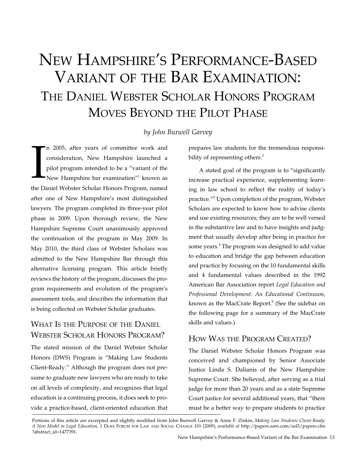# New Hampshire's Performance-Based Variant of the Bar Examination: The Daniel Webster Scholar Honors Program Moves Beyond the Pilot Phase

### *by John Burwell Garvey*

 $\prod_{\text{the D}}$ n 2005, after years of committee work and consideration, New Hampshire launched a pilot program intended to be a "variant of the New Hampshire bar examination<sup>"1</sup> known as the Daniel Webster Scholar Honors Program, named after one of New Hampshire's most distinguished lawyers. The program completed its three-year pilot phase in 2009. Upon thorough review, the New Hampshire Supreme Court unanimously approved the continuation of the program in May 2009. In May 2010, the third class of Webster Scholars was admitted to the New Hampshire Bar through this alternative licensing program. This article briefly reviews the history of the program, discusses the program requirements and evolution of the program's assessment tools, and describes the information that is being collected on Webster Scholar graduates.

# What Is the Purpose of the Daniel Webster Scholar Honors Program?

The stated mission of the Daniel Webster Scholar Honors (DWS) Program is "Making Law Students Client-Ready." Although the program does not presume to graduate new lawyers who are ready to take on all levels of complexity, and recognizes that legal education is a continuing process, it does seek to provide a practice-based, client-oriented education that prepares law students for the tremendous responsibility of representing others.<sup>2</sup>

A stated goal of the program is to "significantly increase practical experience, supplementing learning in law school to reflect the reality of today's practice."3 Upon completion of the program, Webster Scholars are expected to know how to advise clients and use existing resources; they are to be well versed in the substantive law and to have insights and judgment that usually develop after being in practice for some years.<sup>4</sup> The program was designed to add value to education and bridge the gap between education and practice by focusing on the 10 fundamental skills and 4 fundamental values described in the 1992 American Bar Association report *Legal Education and Professional Development: An Educational Continuum,* known as the MacCrate Report.<sup>5</sup> (See the sidebar on the following page for a summary of the MacCrate skills and values.)

### How Was the Program Created?

The Daniel Webster Scholar Honors Program was conceived and championed by Senior Associate Justice Linda S. Dalianis of the New Hampshire Supreme Court. She believed, after serving as a trial judge for more than 20 years and as a state Supreme Court justice for several additional years, that "there must be a better way to prepare students to practice

Portions of this article are excerpted and slightly modified from John Burwell Garvey & Anne F. Zinkin, *Making Law Students Client-Ready: A New Model in Legal Education,* 1 Duke Forum for Law and Social Change 101 (2009), *available at* http://papers.ssrn.com/sol3/papers.cfm ?abstract\_id=1477391.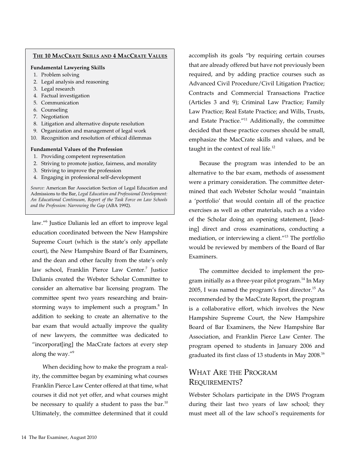### **The 10 MacCrate Skills and 4 MacCrate Values**

#### **Fundamental Lawyering Skills**

- 1. Problem solving
- 2. Legal analysis and reasoning
- 3. Legal research
- 4. Factual investigation
- 5. Communication
- 6. Counseling
- 7. Negotiation
- 8. Litigation and alternative dispute resolution
- 9. Organization and management of legal work
- 10. Recognition and resolution of ethical dilemmas

#### **Fundamental Values of the Profession**

- 1. Providing competent representation
- 2. Striving to promote justice, fairness, and morality
- 3. Striving to improve the profession
- 4. Engaging in professional self-development

*Source:* American Bar Association Section of Legal Education and Admissions to the Bar, *Legal Education and Professional Development: An Educational Continuum, Report of the Task Force on Law Schools and the Profession: Narrowing the Gap* (ABA 1992).

law."6 Justice Dalianis led an effort to improve legal education coordinated between the New Hampshire Supreme Court (which is the state's only appellate court), the New Hampshire Board of Bar Examiners, and the dean and other faculty from the state's only law school, Franklin Pierce Law Center.<sup>7</sup> Justice Dalianis created the Webster Scholar Committee to consider an alternative bar licensing program. The committee spent two years researching and brainstorming ways to implement such a program.<sup>8</sup> In addition to seeking to create an alternative to the bar exam that would actually improve the quality of new lawyers, the committee was dedicated to "incorporat[ing] the MacCrate factors at every step along the way."<sup>9</sup>

When deciding how to make the program a reality, the committee began by examining what courses Franklin Pierce Law Center offered at that time, what courses it did not yet offer, and what courses might be necessary to qualify a student to pass the bar.<sup>10</sup> Ultimately, the committee determined that it could accomplish its goals "by requiring certain courses that are already offered but have not previously been required, and by adding practice courses such as Advanced Civil Procedure/Civil Litigation Practice; Contracts and Commercial Transactions Practice (Articles 3 and 9); Criminal Law Practice; Family Law Practice; Real Estate Practice; and Wills, Trusts, and Estate Practice."<sup>11</sup> Additionally, the committee decided that these practice courses should be small, emphasize the MacCrate skills and values, and be taught in the context of real life.<sup>12</sup>

Because the program was intended to be an alternative to the bar exam, methods of assessment were a primary consideration. The committee determined that each Webster Scholar would "maintain a 'portfolio' that would contain all of the practice exercises as well as other materials, such as a video of the Scholar doing an opening statement, [leading] direct and cross examinations, conducting a mediation, or interviewing a client."13 The portfolio would be reviewed by members of the Board of Bar Examiners.

The committee decided to implement the program initially as a three-year pilot program.<sup>14</sup> In May 2005, I was named the program's first director.<sup>15</sup> As recommended by the MacCrate Report, the program is a collaborative effort, which involves the New Hampshire Supreme Court, the New Hampshire Board of Bar Examiners, the New Hampshire Bar Association, and Franklin Pierce Law Center. The program opened to students in January 2006 and graduated its first class of 13 students in May 2008.<sup>16</sup>

### What Are the Program REQUIREMENTS?

Webster Scholars participate in the DWS Program during their last two years of law school; they must meet all of the law school's requirements for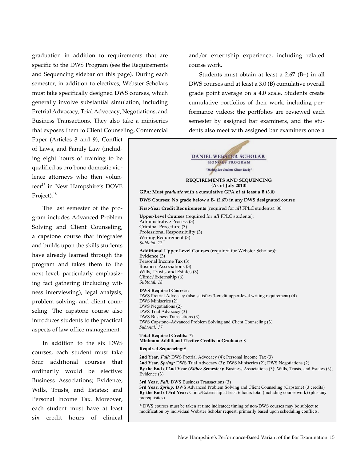graduation in addition to requirements that are specific to the DWS Program (see the Requirements and Sequencing sidebar on this page). During each semester, in addition to electives, Webster Scholars must take specifically designed DWS courses, which generally involve substantial simulation, including Pretrial Advocacy, Trial Advocacy, Negotiations, and Business Transactions. They also take a miniseries that exposes them to Client Counseling, Commercial

Paper (Articles 3 and 9), Conflict of Laws, and Family Law (including eight hours of training to be qualified as pro bono domestic violence attorneys who then volunteer<sup>17</sup> in New Hampshire's DOVE Project).<sup>18</sup>

The last semester of the program includes Advanced Problem Solving and Client Counseling, a capstone course that integrates and builds upon the skills students have already learned through the program and takes them to the next level, particularly emphasizing fact gathering (including witness interviewing), legal analysis, problem solving, and client counseling. The capstone course also introduces students to the practical aspects of law office management.

In addition to the six DWS courses, each student must take four additional courses that ordinarily would be elective: Business Associations; Evidence; Wills, Trusts, and Estates; and Personal Income Tax. Moreover, each student must have at least six credit hours of clinical

and/or externship experience, including related course work.

Students must obtain at least a 2.67 (B−) in all DWS courses and at least a 3.0 (B) cumulative overall grade point average on a 4.0 scale. Students create cumulative portfolios of their work, including performance videos; the portfolios are reviewed each semester by assigned bar examiners, and the students also meet with assigned bar examiners once a

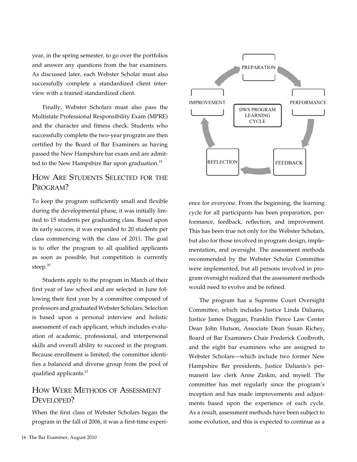year, in the spring semester, to go over the portfolios and answer any questions from the bar examiners. As discussed later, each Webster Scholar must also successfully complete a standardized client interview with a trained standardized client.

Finally, Webster Scholars must also pass the Multistate Professional Responsibility Exam (MPRE) and the character and fitness check. Students who successfully complete the two-year program are then certified by the Board of Bar Examiners as having passed the New Hampshire bar exam and are admitted to the New Hampshire Bar upon graduation.<sup>19</sup>

# How Are Students Selected for the PROGRAM?

To keep the program sufficiently small and flexible during the developmental phase, it was initially limited to 15 students per graduating class. Based upon its early success, it was expanded to 20 students per class commencing with the class of 2011. The goal is to offer the program to all qualified applicants as soon as possible, but competition is currently steep.<sup>20</sup>

Students apply to the program in March of their first year of law school and are selected in June following their first year by a committee composed of professors and graduated Webster Scholars. Selection is based upon a personal interview and holistic assessment of each applicant, which includes evaluation of academic, professional, and interpersonal skills and overall ability to succeed in the program. Because enrollment is limited, the committee identifies a balanced and diverse group from the pool of qualified applicants.<sup>21</sup>

## How Were Methods of Assessment DEVELOPED?

When the first class of Webster Scholars began the program in the fall of 2006, it was a first-time experi-



ence for everyone. From the beginning, the learning cycle for all participants has been preparation, performance, feedback, reflection, and improvement. This has been true not only for the Webster Scholars, but also for those involved in program design, implementation, and oversight. The assessment methods recommended by the Webster Scholar Committee were implemented, but all persons involved in program oversight realized that the assessment methods would need to evolve and be refined.

The program has a Supreme Court Oversight Committee, which includes Justice Linda Dalianis, Justice James Duggan, Franklin Pierce Law Center Dean John Hutson, Associate Dean Susan Richey, Board of Bar Examiners Chair Frederick Coolbroth, and the eight bar examiners who are assigned to Webster Scholars—which include two former New Hampshire Bar presidents, Justice Dalianis's permanent law clerk Anne Zinkin, and myself. The committee has met regularly since the program's inception and has made improvements and adjustments based upon the experience of each cycle. As a result, assessment methods have been subject to some evolution, and this is expected to continue as a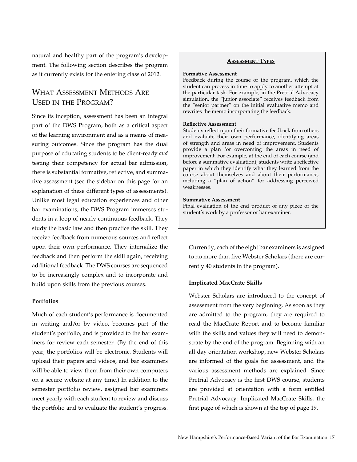natural and healthy part of the program's development. The following section describes the program as it currently exists for the entering class of 2012.

# What Assessment Methods Are Used in the Program?

Since its inception, assessment has been an integral part of the DWS Program, both as a critical aspect of the learning environment and as a means of measuring outcomes. Since the program has the dual purpose of educating students to be client-ready *and* testing their competency for actual bar admission, there is substantial formative, reflective, and summative assessment (see the sidebar on this page for an explanation of these different types of assessments). Unlike most legal education experiences and other bar examinations, the DWS Program immerses students in a loop of nearly continuous feedback. They study the basic law and then practice the skill. They receive feedback from numerous sources and reflect upon their own performance. They internalize the feedback and then perform the skill again, receiving additional feedback. The DWS courses are sequenced to be increasingly complex and to incorporate and build upon skills from the previous courses.

#### **Portfolios**

Much of each student's performance is documented in writing and/or by video, becomes part of the student's portfolio, and is provided to the bar examiners for review each semester. (By the end of this year, the portfolios will be electronic. Students will upload their papers and videos, and bar examiners will be able to view them from their own computers on a secure website at any time.) In addition to the semester portfolio review, assigned bar examiners meet yearly with each student to review and discuss the portfolio and to evaluate the student's progress.

#### **Assessment Types**

#### **Formative Assessment**

Feedback during the course or the program, which the student can process in time to apply to another attempt at the particular task. For example, in the Pretrial Advocacy simulation, the "junior associate" receives feedback from the "senior partner" on the initial evaluative memo and rewrites the memo incorporating the feedback.

#### **Reflective Assessment**

Students reflect upon their formative feedback from others and evaluate their own performance, identifying areas of strength and areas in need of improvement. Students provide a plan for overcoming the areas in need of improvement. For example, at the end of each course (and before a summative evaluation), students write a reflective paper in which they identify what they learned from the course about themselves and about their performance, including a "plan of action" for addressing perceived weaknesses.

#### **Summative Assessment**

Final evaluation of the end product of any piece of the student's work by a professor or bar examiner.

Currently, each of the eight bar examiners is assigned to no more than five Webster Scholars (there are currently 40 students in the program).

#### **Implicated MacCrate Skills**

Webster Scholars are introduced to the concept of assessment from the very beginning. As soon as they are admitted to the program, they are required to read the MacCrate Report and to become familiar with the skills and values they will need to demonstrate by the end of the program. Beginning with an all-day orientation workshop, new Webster Scholars are informed of the goals for assessment, and the various assessment methods are explained. Since Pretrial Advocacy is the first DWS course, students are provided at orientation with a form entitled Pretrial Advocacy: Implicated MacCrate Skills, the first page of which is shown at the top of page 19.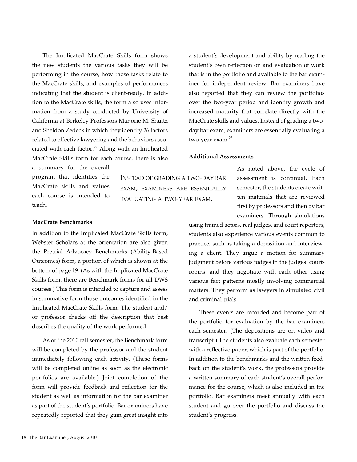The Implicated MacCrate Skills form shows the new students the various tasks they will be performing in the course, how those tasks relate to the MacCrate skills, and examples of performances indicating that the student is client-ready. In addition to the MacCrate skills, the form also uses information from a study conducted by University of California at Berkeley Professors Marjorie M. Shultz and Sheldon Zedeck in which they identify 26 factors related to effective lawyering and the behaviors associated with each factor. $22$  Along with an Implicated MacCrate Skills form for each course, there is also

a summary for the overall program that identifies the MacCrate skills and values each course is intended to teach.

Instead of grading a two-day bar exam, examiners are essentially evaluating a two-year exam.

### **MacCrate Benchmarks**

In addition to the Implicated MacCrate Skills form, Webster Scholars at the orientation are also given the Pretrial Advocacy Benchmarks (Ability-Based Outcomes) form, a portion of which is shown at the bottom of page 19. (As with the Implicated MacCrate Skills form, there are Benchmark forms for all DWS courses.) This form is intended to capture and assess in summative form those outcomes identified in the Implicated MacCrate Skills form. The student and/ or professor checks off the description that best describes the quality of the work performed.

As of the 2010 fall semester, the Benchmark form will be completed by the professor and the student immediately following each activity. (These forms will be completed online as soon as the electronic portfolios are available.) Joint completion of the form will provide feedback and reflection for the student as well as information for the bar examiner as part of the student's portfolio. Bar examiners have repeatedly reported that they gain great insight into a student's development and ability by reading the student's own reflection on and evaluation of work that is in the portfolio and available to the bar examiner for independent review. Bar examiners have also reported that they can review the portfolios over the two-year period and identify growth and increased maturity that correlate directly with the MacCrate skills and values. Instead of grading a twoday bar exam, examiners are essentially evaluating a two-year exam.<sup>23</sup>

#### **Additional Assessments**

As noted above, the cycle of assessment is continual. Each semester, the students create written materials that are reviewed first by professors and then by bar examiners. Through simulations

using trained actors, real judges, and court reporters, students also experience various events common to practice, such as taking a deposition and interviewing a client. They argue a motion for summary judgment before various judges in the judges' courtrooms, and they negotiate with each other using various fact patterns mostly involving commercial matters. They perform as lawyers in simulated civil and criminal trials.

These events are recorded and become part of the portfolio for evaluation by the bar examiners each semester. (The depositions are on video and transcript.) The students also evaluate each semester with a reflective paper, which is part of the portfolio. In addition to the benchmarks and the written feedback on the student's work, the professors provide a written summary of each student's overall performance for the course, which is also included in the portfolio. Bar examiners meet annually with each student and go over the portfolio and discuss the student's progress.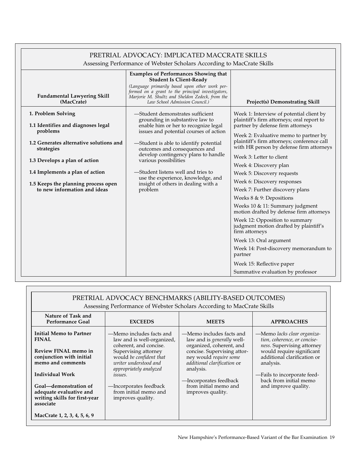| PRETRIAL ADVOCACY: IMPLICATED MACCRATE SKILLS                                                          |                                                                                                                                                                                                                                                                            |                                                                                                                                                                                                                                                                                                                                                                                                               |  |  |
|--------------------------------------------------------------------------------------------------------|----------------------------------------------------------------------------------------------------------------------------------------------------------------------------------------------------------------------------------------------------------------------------|---------------------------------------------------------------------------------------------------------------------------------------------------------------------------------------------------------------------------------------------------------------------------------------------------------------------------------------------------------------------------------------------------------------|--|--|
| Assessing Performance of Webster Scholars According to MacCrate Skills                                 |                                                                                                                                                                                                                                                                            |                                                                                                                                                                                                                                                                                                                                                                                                               |  |  |
| <b>Fundamental Lawyering Skill</b><br>(MacCrate)                                                       | <b>Examples of Performances Showing that</b><br><b>Student Is Client-Ready</b><br>(Language primarily based upon other work per-<br>formed on a grant to the principal investigators,<br>Marjorie M. Shultz and Sheldon Zedeck, from the<br>Law School Admission Council.) | <b>Project(s) Demonstrating Skill</b>                                                                                                                                                                                                                                                                                                                                                                         |  |  |
| 1. Problem Solving<br>1.1 Identifies and diagnoses legal<br>problems                                   | -Student demonstrates sufficient<br>grounding in substantive law to<br>enable him or her to recognize legal<br>issues and potential courses of action<br>-Student is able to identify potential<br>outcomes and consequences and<br>develop contingency plans to handle    | Week 1: Interview of potential client by<br>plaintiff's firm attorneys; oral report to<br>partner by defense firm attorneys                                                                                                                                                                                                                                                                                   |  |  |
| 1.2 Generates alternative solutions and<br>strategies                                                  |                                                                                                                                                                                                                                                                            | Week 2: Evaluative memo to partner by<br>plaintiff's firm attorneys; conference call<br>with HR person by defense firm attorneys                                                                                                                                                                                                                                                                              |  |  |
| 1.3 Develops a plan of action                                                                          | various possibilities                                                                                                                                                                                                                                                      | Week 3: Letter to client                                                                                                                                                                                                                                                                                                                                                                                      |  |  |
| 1.4 Implements a plan of action<br>1.5 Keeps the planning process open<br>to new information and ideas | -Student listens well and tries to<br>use the experience, knowledge, and<br>insight of others in dealing with a<br>problem                                                                                                                                                 | Week 4: Discovery plan<br>Week 5: Discovery requests<br>Week 6: Discovery responses<br>Week 7: Further discovery plans<br>Weeks 8 & 9: Depositions<br>Weeks 10 & 11: Summary judgment<br>motion drafted by defense firm attorneys<br>Week 12: Opposition to summary<br>judgment motion drafted by plaintiff's<br>firm attorneys<br>Week 13: Oral argument<br>Week 14: Post-discovery memorandum to<br>partner |  |  |
|                                                                                                        |                                                                                                                                                                                                                                                                            | Week 15: Reflective paper<br>Summative evaluation by professor                                                                                                                                                                                                                                                                                                                                                |  |  |

 $\Gamma$ 

| PRETRIAL ADVOCACY BENCHMARKS (ABILITY-BASED OUTCOMES)<br>Assessing Performance of Webster Scholars According to MacCrate Skills |                                                                                                    |                                                                                                   |                                                                                           |  |
|---------------------------------------------------------------------------------------------------------------------------------|----------------------------------------------------------------------------------------------------|---------------------------------------------------------------------------------------------------|-------------------------------------------------------------------------------------------|--|
| Nature of Task and<br><b>Performance Goal</b>                                                                                   | <b>EXCEEDS</b>                                                                                     | <b>MEETS</b>                                                                                      | <b>APPROACHES</b>                                                                         |  |
| <b>Initial Memo to Partner</b><br><b>FINAL</b>                                                                                  | —Memo includes facts and<br>law and is well-organized,<br>coherent, and concise.                   | —Memo includes facts and<br>law and is generally well-<br>organized, coherent, and                | -Memo lacks clear organiza-<br>tion, coherence, or concise-<br>ness. Supervising attorney |  |
| Review FINAL memo in<br>conjunction with initial<br>memo and comments                                                           | Supervising attorney<br>would be confident that<br>writer understood and<br>appropriately analyzed | concise. Supervising attor-<br>ney would require some<br>additional clarification or<br>analysis. | would require significant<br>additional clarification or<br>analysis.                     |  |
| <b>Individual Work</b>                                                                                                          | <i>issues.</i>                                                                                     | -Incorporates feedback                                                                            | -Fails to incorporate feed-<br>back from initial memo                                     |  |
| Goal-demonstration of<br>adequate evaluative and<br>writing skills for first-year<br>associate                                  | -Incorporates feedback<br>from initial memo and<br>improves quality.                               | from initial memo and<br>improves quality.                                                        | and improve quality.                                                                      |  |
| MacCrate 1, 2, 3, 4, 5, 6, 9                                                                                                    |                                                                                                    |                                                                                                   |                                                                                           |  |

٦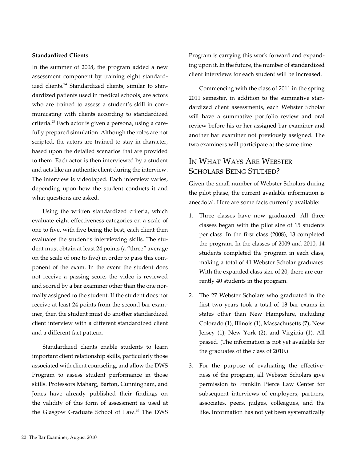### **Standardized Clients**

In the summer of 2008, the program added a new assessment component by training eight standardized clients.<sup>24</sup> Standardized clients, similar to standardized patients used in medical schools, are actors who are trained to assess a student's skill in communicating with clients according to standardized criteria.<sup>25</sup> Each actor is given a persona, using a carefully prepared simulation. Although the roles are not scripted, the actors are trained to stay in character, based upon the detailed scenarios that are provided to them. Each actor is then interviewed by a student and acts like an authentic client during the interview. The interview is videotaped. Each interview varies, depending upon how the student conducts it and what questions are asked.

Using the written standardized criteria, which evaluate eight effectiveness categories on a scale of one to five, with five being the best, each client then evaluates the student's interviewing skills. The student must obtain at least 24 points (a "three" average on the scale of one to five) in order to pass this component of the exam. In the event the student does not receive a passing score, the video is reviewed and scored by a bar examiner other than the one normally assigned to the student. If the student does not receive at least 24 points from the second bar examiner, then the student must do another standardized client interview with a different standardized client and a different fact pattern.

Standardized clients enable students to learn important client relationship skills, particularly those associated with client counseling, and allow the DWS Program to assess student performance in those skills. Professors Maharg, Barton, Cunningham, and Jones have already published their findings on the validity of this form of assessment as used at the Glasgow Graduate School of Law.<sup>26</sup> The DWS Program is carrying this work forward and expanding upon it. In the future, the number of standardized client interviews for each student will be increased.

Commencing with the class of 2011 in the spring 2011 semester, in addition to the summative standardized client assessments, each Webster Scholar will have a summative portfolio review and oral review before his or her assigned bar examiner and another bar examiner not previously assigned. The two examiners will participate at the same time.

# In What Ways Are Webster SCHOLARS BEING STUDIED?

Given the small number of Webster Scholars during the pilot phase, the current available information is anecdotal. Here are some facts currently available:

- 1. Three classes have now graduated. All three classes began with the pilot size of 15 students per class. In the first class (2008), 13 completed the program. In the classes of 2009 and 2010, 14 students completed the program in each class, making a total of 41 Webster Scholar graduates. With the expanded class size of 20, there are currently 40 students in the program.
- 2. The 27 Webster Scholars who graduated in the first two years took a total of 13 bar exams in states other than New Hampshire, including Colorado (1), Illinois (1), Massachusetts (7), New Jersey (1), New York (2), and Virginia (1). All passed. (The information is not yet available for the graduates of the class of 2010.)
- 3. For the purpose of evaluating the effectiveness of the program, all Webster Scholars give permission to Franklin Pierce Law Center for subsequent interviews of employers, partners, associates, peers, judges, colleagues, and the like. Information has not yet been systematically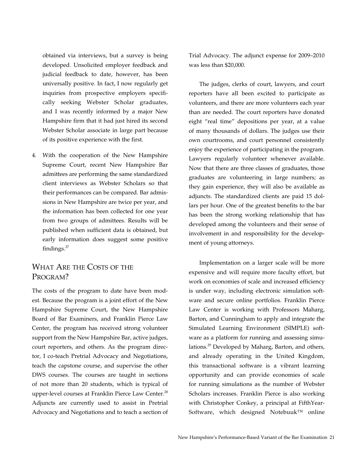obtained via interviews, but a survey is being developed. Unsolicited employer feedback and judicial feedback to date, however, has been universally positive. In fact, I now regularly get inquiries from prospective employers specifically seeking Webster Scholar graduates, and I was recently informed by a major New Hampshire firm that it had just hired its second Webster Scholar associate in large part because of its positive experience with the first.

4. With the cooperation of the New Hampshire Supreme Court, recent New Hampshire Bar admittees are performing the same standardized client interviews as Webster Scholars so that their performances can be compared. Bar admissions in New Hampshire are twice per year, and the information has been collected for one year from two groups of admittees. Results will be published when sufficient data is obtained, but early information does suggest some positive findings.<sup>27</sup>

### WHAT ARE THE COSTS OF THE PROGRAM?

The costs of the program to date have been modest. Because the program is a joint effort of the New Hampshire Supreme Court, the New Hampshire Board of Bar Examiners, and Franklin Pierce Law Center, the program has received strong volunteer support from the New Hampshire Bar, active judges, court reporters, and others. As the program director, I co-teach Pretrial Advocacy and Negotiations, teach the capstone course, and supervise the other DWS courses. The courses are taught in sections of not more than 20 students, which is typical of upper-level courses at Franklin Pierce Law Center.<sup>28</sup> Adjuncts are currently used to assist in Pretrial Advocacy and Negotiations and to teach a section of

Trial Advocacy. The adjunct expense for 2009–2010 was less than \$20,000.

The judges, clerks of court, lawyers, and court reporters have all been excited to participate as volunteers, and there are more volunteers each year than are needed. The court reporters have donated eight "real time" depositions per year, at a value of many thousands of dollars. The judges use their own courtrooms, and court personnel consistently enjoy the experience of participating in the program. Lawyers regularly volunteer whenever available. Now that there are three classes of graduates, those graduates are volunteering in large numbers; as they gain experience, they will also be available as adjuncts. The standardized clients are paid 15 dollars per hour. One of the greatest benefits to the bar has been the strong working relationship that has developed among the volunteers and their sense of involvement in and responsibility for the development of young attorneys.

Implementation on a larger scale will be more expensive and will require more faculty effort, but work on economies of scale and increased efficiency is under way, including electronic simulation software and secure online portfolios. Franklin Pierce Law Center is working with Professors Maharg, Barton, and Cunningham to apply and integrate the Simulated Learning Environment (SIMPLE) software as a platform for running and assessing simulations.<sup>29</sup> Developed by Maharg, Barton, and others, and already operating in the United Kingdom, this transactional software is a vibrant learning opportunity and can provide economies of scale for running simulations as the number of Webster Scholars increases. Franklin Pierce is also working with Christopher Conkey, a principal at FifthYear-Software, which designed Notebuuk™ online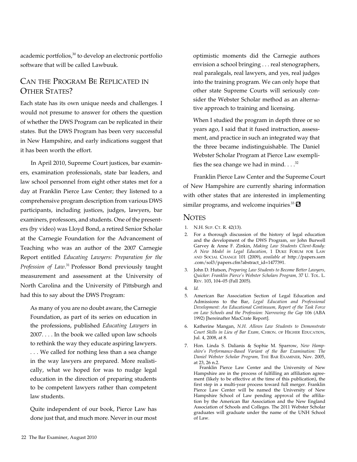academic portfolios,<sup>30</sup> to develop an electronic portfolio software that will be called Lawbuuk.

# Can the Program Be Replicated in OTHER STATES?

Each state has its own unique needs and challenges. I would not presume to answer for others the question of whether the DWS Program can be replicated in their states. But the DWS Program has been very successful in New Hampshire, and early indications suggest that it has been worth the effort.

In April 2010, Supreme Court justices, bar examiners, examination professionals, state bar leaders, and law school personnel from eight other states met for a day at Franklin Pierce Law Center; they listened to a comprehensive program description from various DWS participants, including justices, judges, lawyers, bar examiners, professors, and students. One of the presenters (by video) was Lloyd Bond, a retired Senior Scholar at the Carnegie Foundation for the Advancement of Teaching who was an author of the 2007 Carnegie Report entitled *Educating Lawyers: Preparation for the Profession of Law*. 31 Professor Bond previously taught measurement and assessment at the University of North Carolina and the University of Pittsburgh and had this to say about the DWS Program:

As many of you are no doubt aware, the Carnegie Foundation, as part of its series on education in the professions, published *Educating Lawyers* in 2007. . . . In the book we called upon law schools to rethink the way they educate aspiring lawyers. . . . We called for nothing less than a sea change in the way lawyers are prepared. More realistically, what we hoped for was to nudge legal education in the direction of preparing students to be competent lawyers rather than competent law students.

Quite independent of our book, Pierce Law has done just that, and much more. Never in our most optimistic moments did the Carnegie authors envision a school bringing . . . real stenographers, real paralegals, real lawyers, and yes, real judges into the training program. We can only hope that other state Supreme Courts will seriously consider the Webster Scholar method as an alternative approach to training and licensing.

When I studied the program in depth three or so years ago, I said that it fused instruction, assessment, and practice in such an integrated way that the three became indistinguishable. The Daniel Webster Scholar Program at Pierce Law exemplifies the sea change we had in mind.  $\ldots$ <sup>32</sup>

Franklin Pierce Law Center and the Supreme Court of New Hampshire are currently sharing information with other states that are interested in implementing similar programs, and welcome inquiries.<sup>33</sup>

### **NOTES**

- 1. N.H. Sup. Ct. R. 42(13).
- 2. For a thorough discussion of the history of legal education and the development of the DWS Program, *see* John Burwell Garvey & Anne F. Zinkin, *Making Law Students Client-Ready: A New Model in Legal Education,* 1 Duke Forum for Law and Social Change 101 (2009), *available at* http://papers.ssrn .com/sol3/papers.cfm?abstract\_id=1477391.
- 3. John D. Hutson, *Preparing Law Students to Become Better Lawyers, Quicker: Franklin Pierce's Webster Scholars Program,* 37 U. Tol. L. Rev. 103, 104–05 (Fall 2005).
- 4. *Id.*
- 5. American Bar Association Section of Legal Education and Admissions to the Bar, *Legal Education and Professional Development: An Educational Continuum, Report of the Task Force on Law Schools and the Profession: Narrowing the Gap* 106 (ABA 1992) [hereinafter MacCrate Report].
- 6. Katherine Mangan, *N.H. Allows Law Students to Demonstrate*  Court Skills in Lieu of Bar Exam, CHRON. OF HIGHER EDUCATION, Jul. 4, 2008, at 8.
- 7. Hon. Linda S. Dalianis & Sophie M. Sparrow, *New Hampshire's Performance-Based Variant of the Bar Examination: The Daniel Webster Scholar Program,* The Bar Examiner, Nov. 2005, at 23, 26 n.2.

 Franklin Pierce Law Center and the University of New Hampshire are in the process of fulfilling an affiliation agreement (likely to be effective at the time of this publication), the first step in a multi-year process toward full merger. Franklin Pierce Law Center will be named the University of New Hampshire School of Law pending approval of the affiliation by the American Bar Association and the New England Association of Schools and Colleges. The 2011 Webster Scholar graduates will graduate under the name of the UNH School of Law.